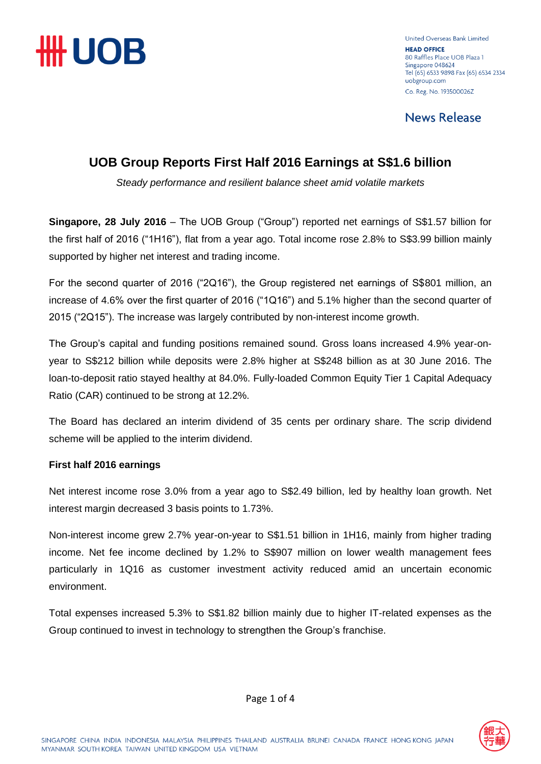

United Overseas Bank Limited **HEAD OFFICE** 80 Raffles Place UOB Plaza 1 Singapore 048624 Tel (65) 6533 9898 Fax (65) 6534 2334 uobgroup.com Co. Reg. No. 193500026Z

**News Release** 

## **UOB Group Reports First Half 2016 Earnings at S\$1.6 billion**

*Steady performance and resilient balance sheet amid volatile markets*

**Singapore, 28 July 2016** – The UOB Group ("Group") reported net earnings of S\$1.57 billion for the first half of 2016 ("1H16"), flat from a year ago. Total income rose 2.8% to S\$3.99 billion mainly supported by higher net interest and trading income.

For the second quarter of 2016 ("2Q16"), the Group registered net earnings of S\$801 million, an increase of 4.6% over the first quarter of 2016 ("1Q16") and 5.1% higher than the second quarter of 2015 ("2Q15"). The increase was largely contributed by non-interest income growth.

The Group's capital and funding positions remained sound. Gross loans increased 4.9% year-onyear to S\$212 billion while deposits were 2.8% higher at S\$248 billion as at 30 June 2016. The loan-to-deposit ratio stayed healthy at 84.0%. Fully-loaded Common Equity Tier 1 Capital Adequacy Ratio (CAR) continued to be strong at 12.2%.

The Board has declared an interim dividend of 35 cents per ordinary share. The scrip dividend scheme will be applied to the interim dividend.

### **First half 2016 earnings**

Net interest income rose 3.0% from a year ago to S\$2.49 billion, led by healthy loan growth. Net interest margin decreased 3 basis points to 1.73%.

Non-interest income grew 2.7% year-on-year to S\$1.51 billion in 1H16, mainly from higher trading income. Net fee income declined by 1.2% to S\$907 million on lower wealth management fees particularly in 1Q16 as customer investment activity reduced amid an uncertain economic environment.

Total expenses increased 5.3% to S\$1.82 billion mainly due to higher IT-related expenses as the Group continued to invest in technology to strengthen the Group's franchise.



Page 1 of 4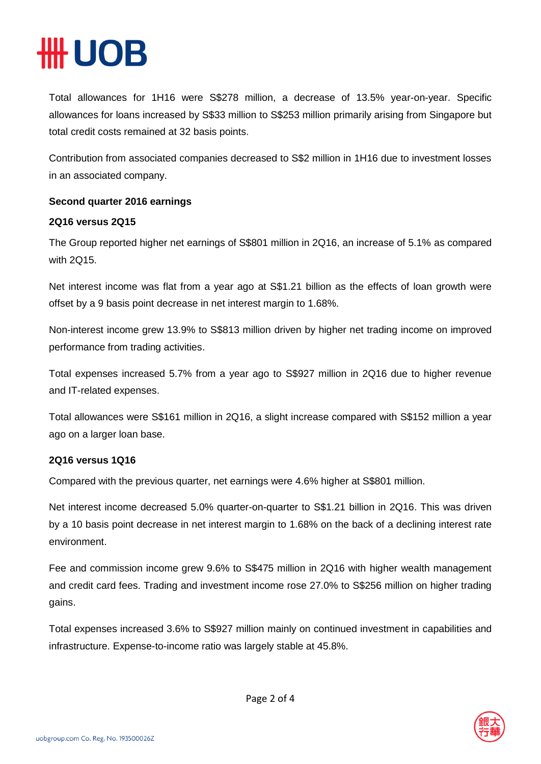# **\# UOB**

Total allowances for 1H16 were S\$278 million, a decrease of 13.5% year-on-year. Specific allowances for loans increased by S\$33 million to S\$253 million primarily arising from Singapore but total credit costs remained at 32 basis points.

Contribution from associated companies decreased to S\$2 million in 1H16 due to investment losses in an associated company.

### **Second quarter 2016 earnings**

#### **2Q16 versus 2Q15**

The Group reported higher net earnings of S\$801 million in 2Q16, an increase of 5.1% as compared with 2Q15.

Net interest income was flat from a year ago at S\$1.21 billion as the effects of loan growth were offset by a 9 basis point decrease in net interest margin to 1.68%.

Non-interest income grew 13.9% to S\$813 million driven by higher net trading income on improved performance from trading activities.

Total expenses increased 5.7% from a year ago to S\$927 million in 2Q16 due to higher revenue and IT-related expenses.

Total allowances were S\$161 million in 2Q16, a slight increase compared with S\$152 million a year ago on a larger loan base.

### **2Q16 versus 1Q16**

Compared with the previous quarter, net earnings were 4.6% higher at S\$801 million.

Net interest income decreased 5.0% quarter-on-quarter to S\$1.21 billion in 2Q16. This was driven by a 10 basis point decrease in net interest margin to 1.68% on the back of a declining interest rate environment.

Fee and commission income grew 9.6% to S\$475 million in 2Q16 with higher wealth management and credit card fees. Trading and investment income rose 27.0% to S\$256 million on higher trading gains.

Total expenses increased 3.6% to S\$927 million mainly on continued investment in capabilities and infrastructure. Expense-to-income ratio was largely stable at 45.8%.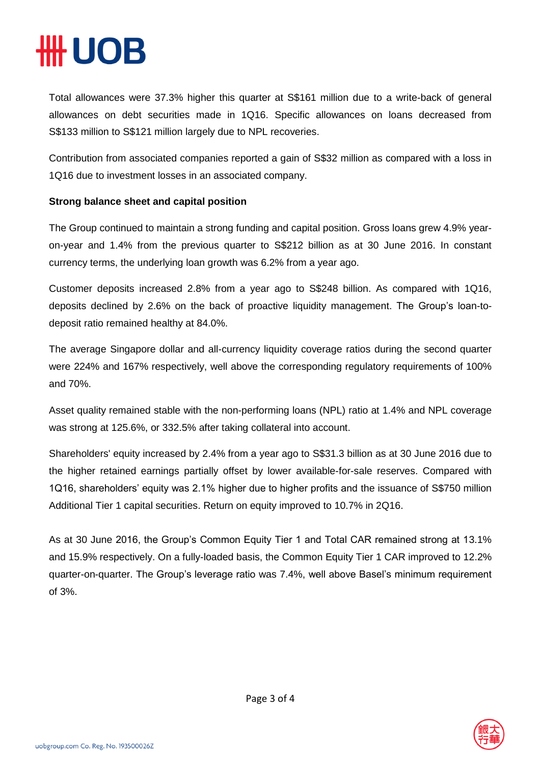# **HUOB**

Total allowances were 37.3% higher this quarter at S\$161 million due to a write-back of general allowances on debt securities made in 1Q16. Specific allowances on loans decreased from S\$133 million to S\$121 million largely due to NPL recoveries.

Contribution from associated companies reported a gain of S\$32 million as compared with a loss in 1Q16 due to investment losses in an associated company.

### **Strong balance sheet and capital position**

The Group continued to maintain a strong funding and capital position. Gross loans grew 4.9% yearon-year and 1.4% from the previous quarter to S\$212 billion as at 30 June 2016. In constant currency terms, the underlying loan growth was 6.2% from a year ago.

Customer deposits increased 2.8% from a year ago to S\$248 billion. As compared with 1Q16, deposits declined by 2.6% on the back of proactive liquidity management. The Group's loan-todeposit ratio remained healthy at 84.0%.

The average Singapore dollar and all-currency liquidity coverage ratios during the second quarter were 224% and 167% respectively, well above the corresponding regulatory requirements of 100% and 70%.

Asset quality remained stable with the non-performing loans (NPL) ratio at 1.4% and NPL coverage was strong at 125.6%, or 332.5% after taking collateral into account.

Shareholders' equity increased by 2.4% from a year ago to S\$31.3 billion as at 30 June 2016 due to the higher retained earnings partially offset by lower available-for-sale reserves. Compared with 1Q16, shareholders' equity was 2.1% higher due to higher profits and the issuance of S\$750 million Additional Tier 1 capital securities. Return on equity improved to 10.7% in 2Q16.

As at 30 June 2016, the Group's Common Equity Tier 1 and Total CAR remained strong at 13.1% and 15.9% respectively. On a fully-loaded basis, the Common Equity Tier 1 CAR improved to 12.2% quarter-on-quarter. The Group's leverage ratio was 7.4%, well above Basel's minimum requirement of 3%.